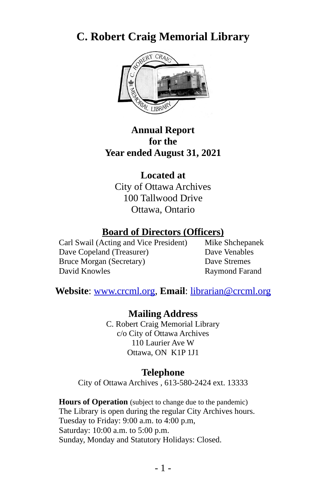# **C. Robert Craig Memorial Library**



#### **Annual Report for the Year ended August 31, 2021**

**Located at** City of Ottawa Archives 100 Tallwood Drive Ottawa, Ontario

#### **Board of Directors (Officers)**

Carl Swail (Acting and Vice President) Mike Shchepanek Dave Copeland (Treasurer) Dave Venables Bruce Morgan (Secretary) Dave Stremes David Knowles Raymond Farand

**Website**: [www.crcml.org](http://www.crcml.org/), **Email**: librarian@crcml.org

**Mailing Address** C. Robert Craig Memorial Library c/o City of Ottawa Archives 110 Laurier Ave W Ottawa, ON K1P 1J1

#### **Telephone**

City of Ottawa Archives , 613-580-2424 ext. 13333

**Hours of Operation** (subject to change due to the pandemic) The Library is open during the regular City Archives hours. Tuesday to Friday: 9:00 a.m. to 4:00 p.m, Saturday: 10:00 a.m. to 5:00 p.m. Sunday, Monday and Statutory Holidays: Closed.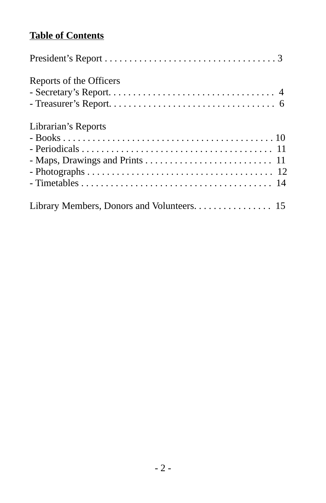## **Table of Contents**

| Reports of the Officers                    |
|--------------------------------------------|
| Librarian's Reports                        |
| Library Members, Donors and Volunteers. 15 |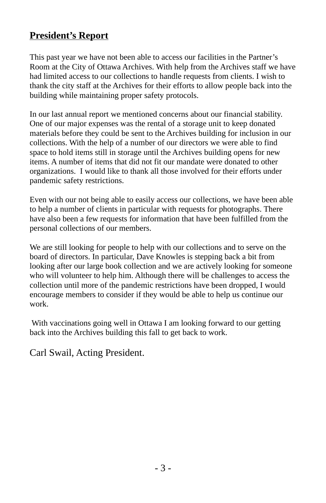### **President's Report**

This past year we have not been able to access our facilities in the Partner's Room at the City of Ottawa Archives. With help from the Archives staff we have had limited access to our collections to handle requests from clients. I wish to thank the city staff at the Archives for their efforts to allow people back into the building while maintaining proper safety protocols.

In our last annual report we mentioned concerns about our financial stability. One of our major expenses was the rental of a storage unit to keep donated materials before they could be sent to the Archives building for inclusion in our collections. With the help of a number of our directors we were able to find space to hold items still in storage until the Archives building opens for new items. A number of items that did not fit our mandate were donated to other organizations. I would like to thank all those involved for their efforts under pandemic safety restrictions.

Even with our not being able to easily access our collections, we have been able to help a number of clients in particular with requests for photographs. There have also been a few requests for information that have been fulfilled from the personal collections of our members.

We are still looking for people to help with our collections and to serve on the board of directors. In particular, Dave Knowles is stepping back a bit from looking after our large book collection and we are actively looking for someone who will volunteer to help him. Although there will be challenges to access the collection until more of the pandemic restrictions have been dropped, I would encourage members to consider if they would be able to help us continue our work.

 With vaccinations going well in Ottawa I am looking forward to our getting back into the Archives building this fall to get back to work.

Carl Swail, Acting President.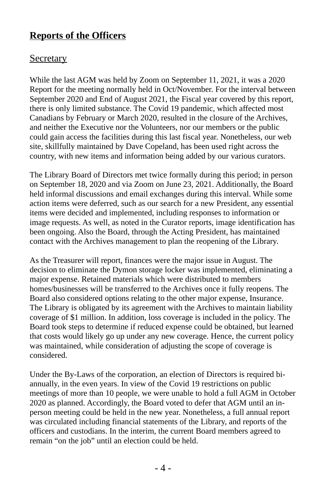### **Reports of the Officers**

#### **Secretary**

While the last AGM was held by Zoom on September 11, 2021, it was a 2020 Report for the meeting normally held in Oct/November. For the interval between September 2020 and End of August 2021, the Fiscal year covered by this report, there is only limited substance. The Covid 19 pandemic, which affected most Canadians by February or March 2020, resulted in the closure of the Archives, and neither the Executive nor the Volunteers, nor our members or the public could gain access the facilities during this last fiscal year. Nonetheless, our web site, skillfully maintained by Dave Copeland, has been used right across the country, with new items and information being added by our various curators.

The Library Board of Directors met twice formally during this period; in person on September 18, 2020 and via Zoom on June 23, 2021. Additionally, the Board held informal discussions and email exchanges during this interval. While some action items were deferred, such as our search for a new President, any essential items were decided and implemented, including responses to information or image requests. As well, as noted in the Curator reports, image identification has been ongoing. Also the Board, through the Acting President, has maintained contact with the Archives management to plan the reopening of the Library.

As the Treasurer will report, finances were the major issue in August. The decision to eliminate the Dymon storage locker was implemented, eliminating a major expense. Retained materials which were distributed to members homes/businesses will be transferred to the Archives once it fully reopens. The Board also considered options relating to the other major expense, Insurance. The Library is obligated by its agreement with the Archives to maintain liability coverage of \$1 million. In addition, loss coverage is included in the policy. The Board took steps to determine if reduced expense could be obtained, but learned that costs would likely go up under any new coverage. Hence, the current policy was maintained, while consideration of adjusting the scope of coverage is considered.

Under the By-Laws of the corporation, an election of Directors is required biannually, in the even years. In view of the Covid 19 restrictions on public meetings of more than 10 people, we were unable to hold a full AGM in October 2020 as planned. Accordingly, the Board voted to defer that AGM until an inperson meeting could be held in the new year. Nonetheless, a full annual report was circulated including financial statements of the Library, and reports of the officers and custodians. In the interim, the current Board members agreed to remain "on the job" until an election could be held.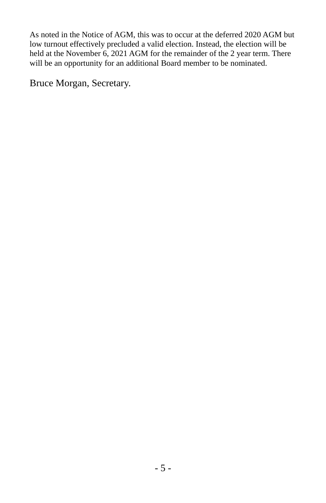As noted in the Notice of AGM, this was to occur at the deferred 2020 AGM but low turnout effectively precluded a valid election. Instead, the election will be held at the November 6, 2021 AGM for the remainder of the 2 year term. There will be an opportunity for an additional Board member to be nominated.

Bruce Morgan, Secretary.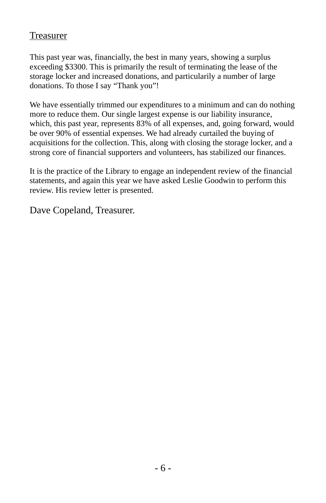#### Treasurer

This past year was, financially, the best in many years, showing a surplus exceeding \$3300. This is primarily the result of terminating the lease of the storage locker and increased donations, and particularily a number of large donations. To those I say "Thank you"!

We have essentially trimmed our expenditures to a minimum and can do nothing more to reduce them. Our single largest expense is our liability insurance, which, this past year, represents 83% of all expenses, and, going forward, would be over 90% of essential expenses. We had already curtailed the buying of acquisitions for the collection. This, along with closing the storage locker, and a strong core of financial supporters and volunteers, has stabilized our finances.

It is the practice of the Library to engage an independent review of the financial statements, and again this year we have asked Leslie Goodwin to perform this review. His review letter is presented.

Dave Copeland, Treasurer.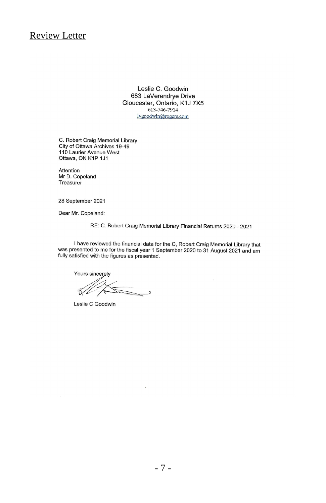Review Letter

Leslie C. Goodwin 683 LaVerendrye Drive Gloucester, Ontario, K1J 7X5 613-746-7914 lvgoodwin@rogers.com

C. Robert Craig Memorial Library City of Ottawa Archives 19-49 110 Laurier Avenue West Ottawa, ON K1P 1J1

Attention Mr D. Copeland Treasurer

28 September 2021

Dear Mr. Copeland:

RE: C. Robert Craig Memorial Library Financial Returns 2020 - 2021

I have reviewed the financial data for the C, Robert Craig Memorial Library that was presented to me for the fiscal year 1 September 2020 to 31 August 2021 and am fully satisfied with the figures as presented.

Yours sincerely <u>Samp</u> ์ๆ

Leslie C Goodwin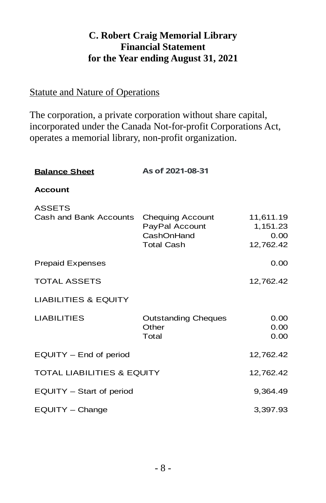### **C. Robert Craig Memorial Library Financial Statement for the Year ending August 31, 2021**

#### Statute and Nature of Operations

The corporation, a private corporation without share capital, incorporated under the Canada Not-for-profit Corporations Act, operates a memorial library, non-profit organization.

| <b>Balance Sheet</b>                    | As of 2021-08-31                                                             |                                            |
|-----------------------------------------|------------------------------------------------------------------------------|--------------------------------------------|
| <b>Account</b>                          |                                                                              |                                            |
| <b>ASSETS</b><br>Cash and Bank Accounts | <b>Chequing Account</b><br>PayPal Account<br>CashOnHand<br><b>Total Cash</b> | 11,611.19<br>1,151.23<br>0.00<br>12,762.42 |
| <b>Prepaid Expenses</b>                 |                                                                              | 0.00                                       |
| <b>TOTAL ASSETS</b>                     |                                                                              | 12,762.42                                  |
| <b>LIABILITIES &amp; EQUITY</b>         |                                                                              |                                            |
| <b>LIABILITIES</b>                      | <b>Outstanding Cheques</b><br>Other<br>Total                                 | 0.00<br>0.00<br>0.00                       |
| $EQUITY - End$ of period                |                                                                              | 12,762.42                                  |
| <b>TOTAL LIABILITIES &amp; EQUITY</b>   |                                                                              | 12,762.42                                  |
| EQUITY - Start of period                |                                                                              | 9,364.49                                   |
| EOUITY - Change                         |                                                                              | 3,397.93                                   |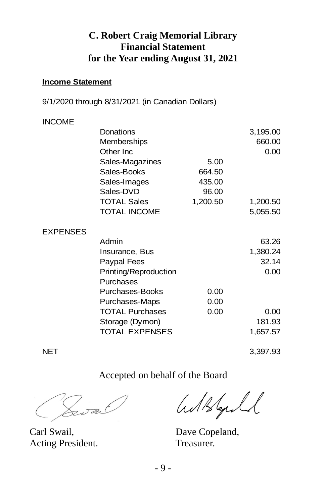#### **C. Robert Craig Memorial Library Financial Statement for the Year ending August 31, 2021**

#### **Income Statement**

9/1/2020 through 8/31/2021 (in Canadian Dollars)

#### INCOME

|                 | Donations<br>Memberships |          | 3,195.00<br>660.00 |
|-----------------|--------------------------|----------|--------------------|
|                 | Other Inc                |          | 0.00               |
|                 | Sales-Magazines          | 5.00     |                    |
|                 | Sales-Books              | 664.50   |                    |
|                 | Sales-Images             | 435.00   |                    |
|                 | Sales-DVD                | 96.00    |                    |
|                 | <b>TOTAL Sales</b>       | 1,200.50 | 1,200.50           |
|                 | <b>TOTAL INCOME</b>      |          | 5,055.50           |
| <b>EXPENSES</b> |                          |          |                    |
|                 | Admin                    |          | 63.26              |
|                 | Insurance, Bus           |          | 1,380.24           |
|                 | Paypal Fees              |          | 32.14              |
|                 | Printing/Reproduction    |          | 0.00               |
|                 | Purchases                |          |                    |
|                 | Purchases-Books          | 0.00     |                    |
|                 | Purchases-Maps           | 0.00     |                    |
|                 | <b>TOTAL Purchases</b>   | 0.00     | 0.00               |
|                 | Storage (Dymon)          |          | 181.93             |
|                 | <b>TOTAL EXPENSES</b>    |          | 1,657.57           |

NET 3,397.93

#### Accepted on behalf of the Board

7<br>25 a.C

Carl Swail, Dave Copeland, Acting President. Treasurer.

Wilkford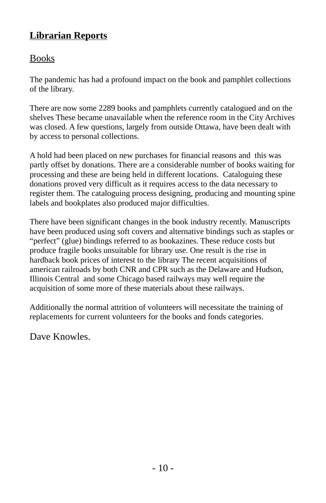### **Librarian Reports**

### Books

The pandemic has had a profound impact on the book and pamphlet collections of the library.

There are now some 2289 books and pamphlets currently catalogued and on the shelves These became unavailable when the reference room in the City Archives was closed. A few questions, largely from outside Ottawa, have been dealt with by access to personal collections.

A hold had been placed on new purchases for financial reasons and this was partly offset by donations. There are a considerable number of books waiting for processing and these are being held in different locations. Cataloguing these donations proved very difficult as it requires access to the data necessary to register them. The cataloguing process designing, producing and mounting spine labels and bookplates also produced major difficulties.

There have been significant changes in the book industry recently. Manuscripts have been produced using soft covers and alternative bindings such as staples or "perfect" (glue) bindings referred to as bookazines. These reduce costs but produce fragile books unsuitable for library use. One result is the rise in hardback book prices of interest to the library The recent acquisitions of american railroads by both CNR and CPR such as the Delaware and Hudson, Illinois Central and some Chicago based railways may well require the acquisition of some more of these materials about these railways.

Additionally the normal attrition of volunteers will necessitate the training of replacements for current volunteers for the books and fonds categories.

Dave Knowles.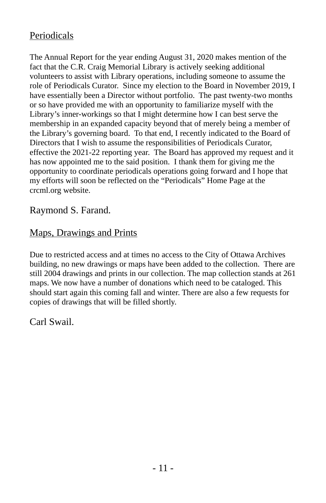### Periodicals

The Annual Report for the year ending August 31, 2020 makes mention of the fact that the C.R. Craig Memorial Library is actively seeking additional volunteers to assist with Library operations, including someone to assume the role of Periodicals Curator. Since my election to the Board in November 2019, I have essentially been a Director without portfolio. The past twenty-two months or so have provided me with an opportunity to familiarize myself with the Library's inner-workings so that I might determine how I can best serve the membership in an expanded capacity beyond that of merely being a member of the Library's governing board. To that end, I recently indicated to the Board of Directors that I wish to assume the responsibilities of Periodicals Curator, effective the 2021-22 reporting year. The Board has approved my request and it has now appointed me to the said position. I thank them for giving me the opportunity to coordinate periodicals operations going forward and I hope that my efforts will soon be reflected on the "Periodicals" Home Page at the crcml.org website.

#### Raymond S. Farand.

#### Maps, Drawings and Prints

Due to restricted access and at times no access to the City of Ottawa Archives building, no new drawings or maps have been added to the collection. There are still 2004 drawings and prints in our collection. The map collection stands at 261 maps. We now have a number of donations which need to be cataloged. This should start again this coming fall and winter. There are also a few requests for copies of drawings that will be filled shortly.

Carl Swail.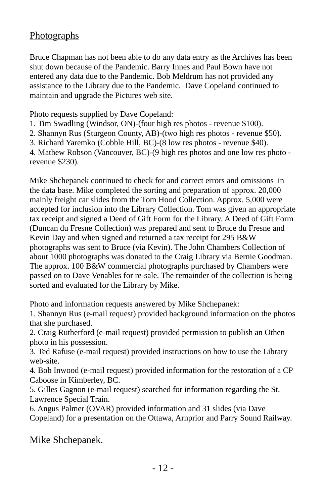#### **Photographs**

Bruce Chapman has not been able to do any data entry as the Archives has been shut down because of the Pandemic. Barry Innes and Paul Bown have not entered any data due to the Pandemic. Bob Meldrum has not provided any assistance to the Library due to the Pandemic. Dave Copeland continued to maintain and upgrade the Pictures web site.

Photo requests supplied by Dave Copeland:

- 1. Tim Swadling (Windsor, ON)-(four high res photos revenue \$100).
- 2. Shannyn Rus (Sturgeon County, AB)-(two high res photos revenue \$50).
- 3. Richard Yaremko (Cobble Hill, BC)-(8 low res photos revenue \$40).

4. Mathew Robson (Vancouver, BC)-(9 high res photos and one low res photo revenue \$230).

Mike Shchepanek continued to check for and correct errors and omissions in the data base. Mike completed the sorting and preparation of approx. 20,000 mainly freight car slides from the Tom Hood Collection. Approx. 5,000 were accepted for inclusion into the Library Collection. Tom was given an appropriate tax receipt and signed a Deed of Gift Form for the Library. A Deed of Gift Form (Duncan du Fresne Collection) was prepared and sent to Bruce du Fresne and Kevin Day and when signed and returned a tax receipt for 295 B&W photographs was sent to Bruce (via Kevin). The John Chambers Collection of about 1000 photographs was donated to the Craig Library via Bernie Goodman. The approx. 100 B&W commercial photographs purchased by Chambers were passed on to Dave Venables for re-sale. The remainder of the collection is being sorted and evaluated for the Library by Mike.

Photo and information requests answered by Mike Shchepanek:

1. Shannyn Rus (e-mail request) provided background information on the photos that she purchased.

2. Craig Rutherford (e-mail request) provided permission to publish an Othen photo in his possession.

3. Ted Rafuse (e-mail request) provided instructions on how to use the Library web-site.

4. Bob Inwood (e-mail request) provided information for the restoration of a CP Caboose in Kimberley, BC.

5. Gilles Gagnon (e-mail request) searched for information regarding the St. Lawrence Special Train.

6. Angus Palmer (OVAR) provided information and 31 slides (via Dave Copeland) for a presentation on the Ottawa, Arnprior and Parry Sound Railway.

Mike Shchepanek.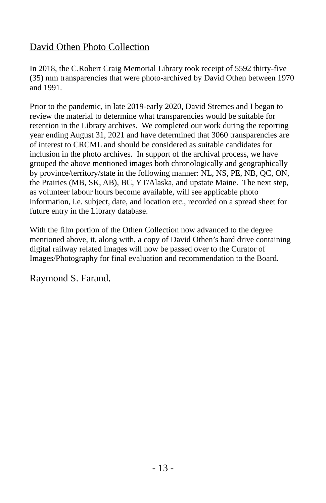### David Othen Photo Collection

In 2018, the C.Robert Craig Memorial Library took receipt of 5592 thirty-five (35) mm transparencies that were photo-archived by David Othen between 1970 and 1991.

Prior to the pandemic, in late 2019-early 2020, David Stremes and I began to review the material to determine what transparencies would be suitable for retention in the Library archives. We completed our work during the reporting year ending August 31, 2021 and have determined that 3060 transparencies are of interest to CRCML and should be considered as suitable candidates for inclusion in the photo archives. In support of the archival process, we have grouped the above mentioned images both chronologically and geographically by province/territory/state in the following manner: NL, NS, PE, NB, QC, ON, the Prairies (MB, SK, AB), BC, YT/Alaska, and upstate Maine. The next step, as volunteer labour hours become available, will see applicable photo information, i.e. subject, date, and location etc., recorded on a spread sheet for future entry in the Library database.

With the film portion of the Othen Collection now advanced to the degree mentioned above, it, along with, a copy of David Othen's hard drive containing digital railway related images will now be passed over to the Curator of Images/Photography for final evaluation and recommendation to the Board.

Raymond S. Farand.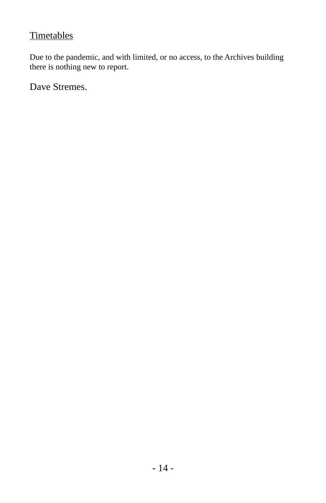#### **Timetables**

Due to the pandemic, and with limited, or no access, to the Archives building there is nothing new to report.

Dave Stremes.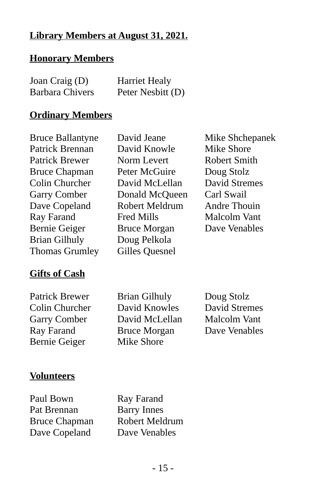### **Library Members at August 31, 2021.**

#### **Honorary Members**

| Joan Craig (D)         | <b>Harriet Healy</b> |
|------------------------|----------------------|
| <b>Barbara Chivers</b> | Peter Nesbitt (D)    |

#### **Ordinary Members**

Bruce Ballantyne David Jeane Mike Shchepanek Patrick Brennan David Knowle Mike Shore Patrick Brewer Norm Levert Robert Smith Bruce Chapman Peter McGuire Doug Stolz Colin Churcher David McLellan David Stremes Garry Comber Donald McQueen Carl Swail Dave Copeland Robert Meldrum Andre Thouin Ray Farand Fred Mills Malcolm Vant Bernie Geiger Bruce Morgan Dave Venables Brian Gilhuly Doug Pelkola Thomas Grumley Gilles Quesnel

### **Gifts of Cash**

Bernie Geiger Mike Shore

Patrick Brewer Brian Gilhuly Doug Stolz Colin Churcher David Knowles David Stremes Garry Comber David McLellan Malcolm Vant Ray Farand Bruce Morgan Dave Venables

#### **Volunteers**

Paul Bown Ray Farand Pat Brennan Barry Innes Bruce Chapman Robert Meldrum Dave Copeland Dave Venables